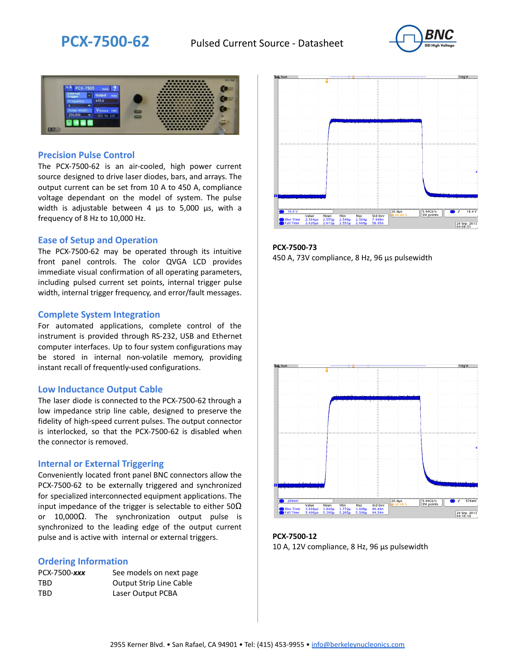



#### **Precision Pulse Control**

The PCX-7500-62 is an air-cooled, high power current source designed to drive laser diodes, bars, and arrays. The output current can be set from 10 A to 450 A, compliance voltage dependant on the model of system. The pulse width is adjustable between 4 µs to 5,000 µs, with a frequency of 8 Hz to 10,000 Hz.

#### **Ease of Setup and Operation**

The PCX-7500-62 may be operated through its intuitive front panel controls. The color QVGA LCD provides immediate visual confirmation of all operating parameters, including pulsed current set points, internal trigger pulse width, internal trigger frequency, and error/fault messages.

#### **Complete System Integration**

For automated applications, complete control of the instrument is provided through RS-232, USB and Ethernet computer interfaces. Up to four system configurations may be stored in internal non-volatile memory, providing instant recall of frequently-used configurations.

#### **Low Inductance Output Cable**

The laser diode is connected to the PCX-7500-62 through a low impedance strip line cable, designed to preserve the fidelity of high-speed current pulses. The output connector is interlocked, so that the PCX-7500-62 is disabled when the connector is removed.

### **Internal or External Triggering**

Conveniently located front panel BNC connectors allow the PCX-7500-62 to be externally triggered and synchronized for specialized interconnected equipment applications. The input impedance of the trigger is selectable to either  $50\Omega$ or 10,000Ω. The synchronization output pulse is synchronized to the leading edge of the output current pulse and is active with internal or external triggers.

#### **Ordering Information**

| PCX-7500-xxx | See models on next page        |
|--------------|--------------------------------|
| TBD          | <b>Output Strip Line Cable</b> |
| TBD          | Laser Output PCBA              |



**PCX-7500-73** 450 A, 73V compliance, 8 Hz, 96 µs pulsewidth



**PCX-7500-12** 10 A, 12V compliance, 8 Hz, 96 μs pulsewidth